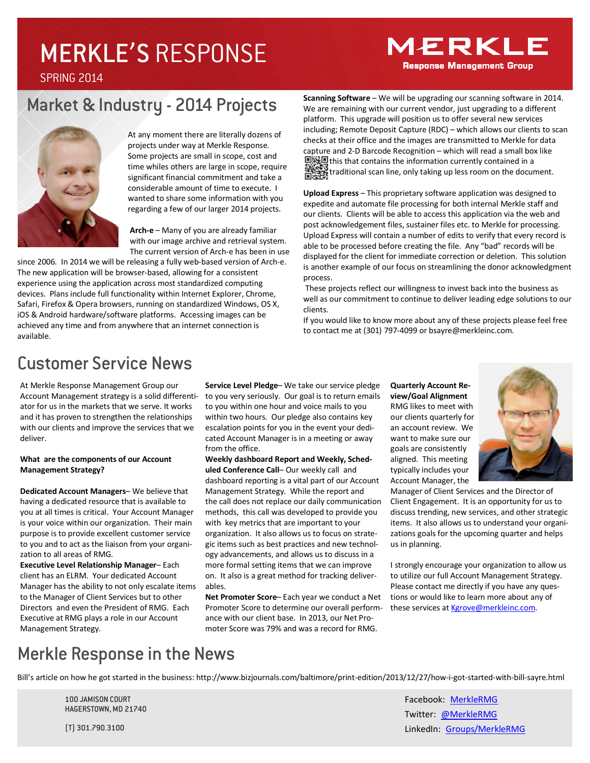# MERKLE'S RESPONSE

#### **MERKLE Response Management Group**

SPRING 2014

### Market & Industry - 2014 Projects



At any moment there are literally dozens of projects under way at Merkle Response. Some projects are small in scope, cost and time whiles others are large in scope, require significant financial commitment and take a considerable amount of time to execute. I wanted to share some information with you regarding a few of our larger 2014 projects.

**Arch-e** – Many of you are already familiar with our image archive and retrieval system. The current version of Arch-e has been in use

since 2006. In 2014 we will be releasing a fully web-based version of Arch-e. The new application will be browser-based, allowing for a consistent experience using the application across most standardized computing devices. Plans include full functionality within Internet Explorer, Chrome, Safari, Firefox & Opera browsers, running on standardized Windows, OS X, iOS & Android hardware/software platforms. Accessing images can be achieved any time and from anywhere that an internet connection is available.

**Scanning Software** – We will be upgrading our scanning software in 2014. We are remaining with our current vendor, just upgrading to a different platform. This upgrade will position us to offer several new services including; Remote Deposit Capture (RDC) – which allows our clients to scan checks at their office and the images are transmitted to Merkle for data capture and 2-D Barcode Recognition – which will read a small box like this that contains the information currently contained in a traditional scan line, only taking up less room on the document.

**Upload Express** – This proprietary software application was designed to expedite and automate file processing for both internal Merkle staff and our clients. Clients will be able to access this application via the web and post acknowledgement files, sustainer files etc. to Merkle for processing. Upload Express will contain a number of edits to verify that every record is able to be processed before creating the file. Any "bad" records will be displayed for the client for immediate correction or deletion. This solution is another example of our focus on streamlining the donor acknowledgment process.

These projects reflect our willingness to invest back into the business as well as our commitment to continue to deliver leading edge solutions to our clients.

If you would like to know more about any of these projects please feel free to contact me at (301) 797-4099 or bsayre@merkleinc.com.

#### Customer Service News

At Merkle Response Management Group our Account Management strategy is a solid differentiator for us in the markets that we serve. It works and it has proven to strengthen the relationships with our clients and improve the services that we deliver.

#### **What are the components of our Account Management Strategy?**

**Dedicated Account Managers**– We believe that having a dedicated resource that is available to you at all times is critical. Your Account Manager is your voice within our organization. Their main purpose is to provide excellent customer service to you and to act as the liaison from your organization to all areas of RMG.

**Executive Level Relationship Manager**– Each client has an ELRM. Your dedicated Account Manager has the ability to not only escalate items to the Manager of Client Services but to other Directors and even the President of RMG. Each Executive at RMG plays a role in our Account Management Strategy.

**Service Level Pledge**– We take our service pledge to you very seriously. Our goal is to return emails to you within one hour and voice mails to you within two hours. Our pledge also contains key escalation points for you in the event your dedicated Account Manager is in a meeting or away from the office.

**Weekly dashboard Report and Weekly, Scheduled Conference Call**– Our weekly call and dashboard reporting is a vital part of our Account Management Strategy. While the report and the call does not replace our daily communication methods, this call was developed to provide you with key metrics that are important to your organization. It also allows us to focus on strategic items such as best practices and new technology advancements, and allows us to discuss in a more formal setting items that we can improve on. It also is a great method for tracking deliverables.

**Net Promoter Score**– Each year we conduct a Net Promoter Score to determine our overall performance with our client base. In 2013, our Net Promoter Score was 79% and was a record for RMG.

**Quarterly Account Review/Goal Alignment** RMG likes to meet with our clients quarterly for an account review. We want to make sure our goals are consistently aligned. This meeting typically includes your Account Manager, the



Manager of Client Services and the Director of Client Engagement. It is an opportunity for us to discuss trending, new services, and other strategic items. It also allows us to understand your organizations goals for the upcoming quarter and helps us in planning.

I strongly encourage your organization to allow us to utilize our full Account Management Strategy. Please contact me directly if you have any questions or would like to learn more about any of these services at Kgrove@merkleinc.com.

### Merkle Response in the News

Bill's article on how he got started in the business: http://www.bizjournals.com/baltimore/print-edition/2013/12/27/how-i-got-started-with-bill-sayre.html

100 JAMISON COURT HAGERSTOWN, MD 21740

(T) 301.790.3100

Facebook: MerkleRMG Twitter: @MerkleRMG LinkedIn: Groups/MerkleRMG